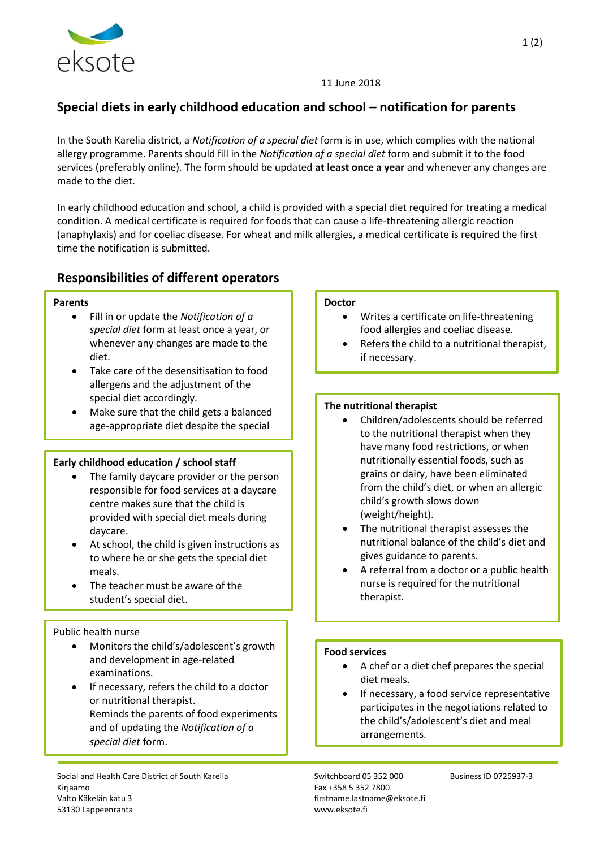

#### 11 June 2018

### **Special diets in early childhood education and school – notification for parents**

In the South Karelia district, a *Notification of a special diet* form is in use, which complies with the national allergy programme. Parents should fill in the *Notification of a special diet* form and submit it to the food services (preferably online). The form should be updated **at least once a year** and whenever any changes are made to the diet.

In early childhood education and school, a child is provided with a special diet required for treating a medical condition. A medical certificate is required for foods that can cause a life-threatening allergic reaction (anaphylaxis) and for coeliac disease. For wheat and milk allergies, a medical certificate is required the first time the notification is submitted.

### **Responsibilities of different operators**

#### **Parents**

- Fill in or update the *Notification of a special diet* form at least once a year, or whenever any changes are made to the diet.
- Take care of the desensitisation to food allergens and the adjustment of the special diet accordingly.
- Make sure that the child gets a balanced age-appropriate diet despite the special

#### **Early childhood education / school staff**

- The family daycare provider or the person responsible for food services at a daycare centre makes sure that the child is provided with special diet meals during daycare.
- At school, the child is given instructions as to where he or she gets the special diet meals.
- The teacher must be aware of the student's special diet.

## Public health nurse

diet.

 Monitors the child's/adolescent's growth and development in age-related examinations.

If necessary, the child can be referred to a

 If necessary, refers the child to a doctor or nutritional therapist. Reminds the parents of food experiments and of updating the *Notification of a special diet* form.

Social and Health Care District of South Karelia Summan Switchboard 05 352 000 Business ID 0725937-3 Kirjaamo Fax +358 5 352 7800 Valto Käkelän katu 3 firstname.lastname@eksote.fi 53130 Lappeenranta www.eksote.fi

#### **Doctor**

- Writes a certificate on life-threatening food allergies and coeliac disease.
- Refers the child to a nutritional therapist, if necessary.

#### **The nutritional therapist**

- Children/adolescents should be referred to the nutritional therapist when they have many food restrictions, or when nutritionally essential foods, such as grains or dairy, have been eliminated from the child's diet, or when an allergic child's growth slows down (weight/height).
- The nutritional therapist assesses the nutritional balance of the child's diet and gives guidance to parents.
- A referral from a doctor or a public health nurse is required for the nutritional therapist.

#### **Food services**

- A chef or a diet chef prepares the special diet meals.
- If necessary, a food service representative participates in the negotiations related to the child's/adolescent's diet and meal arrangements.